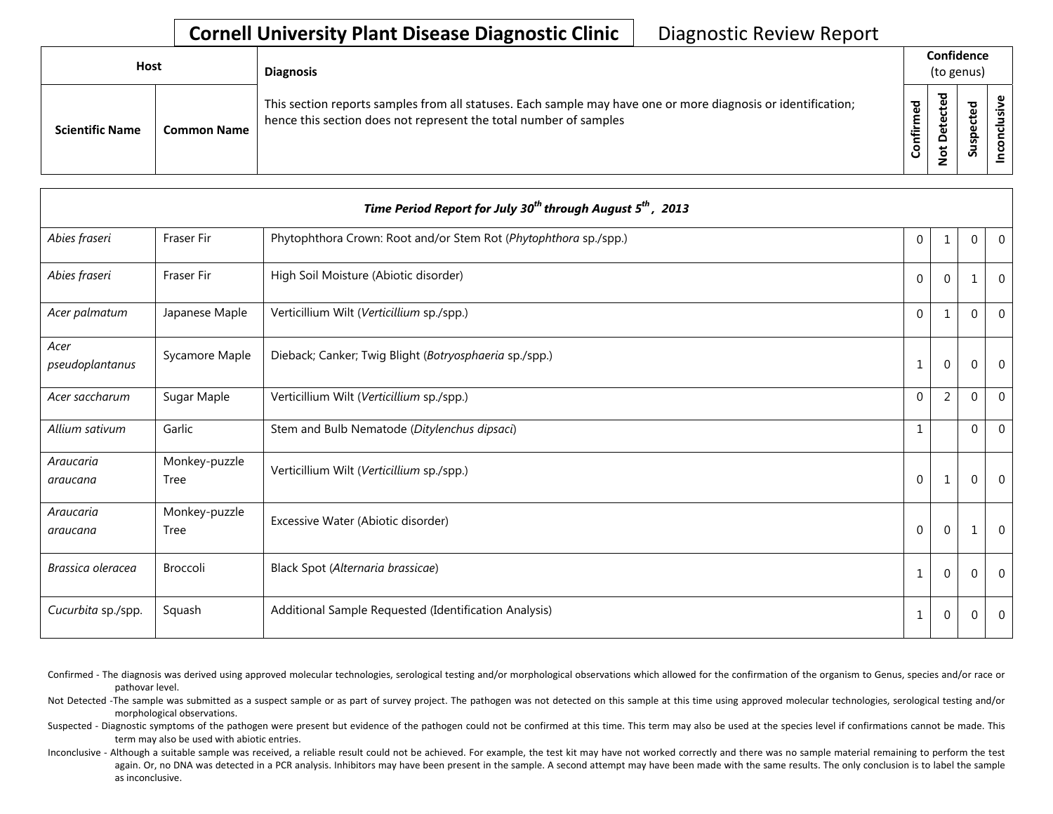## **Cornell University Plant Disease Diagnostic Clinic** | Diagnostic Review Report

| Host                   |                    | <b>Diagnosis</b>                                                                                                                                                                   |                        | Confidence<br>(to genus)          |              |   |  |  |
|------------------------|--------------------|------------------------------------------------------------------------------------------------------------------------------------------------------------------------------------|------------------------|-----------------------------------|--------------|---|--|--|
| <b>Scientific Name</b> | <b>Common Name</b> | This section reports samples from all statuses. Each sample may have one or more diagnosis or identification;<br>hence this section does not represent the total number of samples | $\mathbf{g}$<br>onfirm | ᅙ<br>ω<br>پ<br>≏<br>ى<br><u>۽</u> | ਠ<br>௨<br>వె | s |  |  |

|                         |                              | Time Period Report for July 30 <sup>th</sup> through August 5 <sup>th</sup> , 2013 |              |          |                |                |
|-------------------------|------------------------------|------------------------------------------------------------------------------------|--------------|----------|----------------|----------------|
| Abies fraseri           | Fraser Fir                   | Phytophthora Crown: Root and/or Stem Rot (Phytophthora sp./spp.)                   | $\mathbf{0}$ |          | $\mathbf 0$    | $\Omega$       |
| Abies fraseri           | Fraser Fir                   | High Soil Moisture (Abiotic disorder)                                              | $\Omega$     | $\Omega$ | 1              | $\Omega$       |
| Acer palmatum           | Japanese Maple               | Verticillium Wilt (Verticillium sp./spp.)                                          | $\Omega$     | 1        | $\overline{0}$ | $\Omega$       |
| Acer<br>pseudoplantanus | Sycamore Maple               | Dieback; Canker; Twig Blight (Botryosphaeria sp./spp.)                             | 1            | $\Omega$ | $\overline{0}$ | $\Omega$       |
| Acer saccharum          | Sugar Maple                  | Verticillium Wilt (Verticillium sp./spp.)                                          | $\Omega$     | 2        | $\overline{0}$ | $\Omega$       |
| Allium sativum          | Garlic                       | Stem and Bulb Nematode (Ditylenchus dipsaci)                                       | $\mathbf{1}$ |          | $\overline{0}$ | $\Omega$       |
| Araucaria<br>araucana   | Monkey-puzzle<br>Tree        | Verticillium Wilt (Verticillium sp./spp.)                                          | $\mathbf 0$  | 1        | $\overline{0}$ | $\Omega$       |
| Araucaria<br>araucana   | Monkey-puzzle<br><b>Tree</b> | Excessive Water (Abiotic disorder)                                                 | $\mathbf{0}$ | $\Omega$ |                | $\Omega$       |
| Brassica oleracea       | Broccoli                     | Black Spot (Alternaria brassicae)                                                  | $\mathbf{1}$ | $\Omega$ | $\overline{0}$ | $\Omega$       |
| Cucurbita sp./spp.      | Squash                       | Additional Sample Requested (Identification Analysis)                              | 1            | $\Omega$ | $\overline{0}$ | $\overline{0}$ |

- Confirmed The diagnosis was derived using approved molecular technologies, serological testing and/or morphological observations which allowed for the confirmation of the organism to Genus, species and/or race or pathovar level.
- Not Detected -The sample was submitted as a suspect sample or as part of survey project. The pathogen was not detected on this sample at this time using approved molecular technologies, serological testing and/or morphological observations.
- Suspected Diagnostic symptoms of the pathogen were present but evidence of the pathogen could not be confirmed at this time. This term may also be used at the species level if confirmations cannot be made. This term may also be used with abiotic entries.
- Inconclusive Although a suitable sample was received, a reliable result could not be achieved. For example, the test kit may have not worked correctly and there was no sample material remaining to perform the test again. Or, no DNA was detected in a PCR analysis. Inhibitors may have been present in the sample. A second attempt may have been made with the same results. The only conclusion is to label the sample as inconclusive.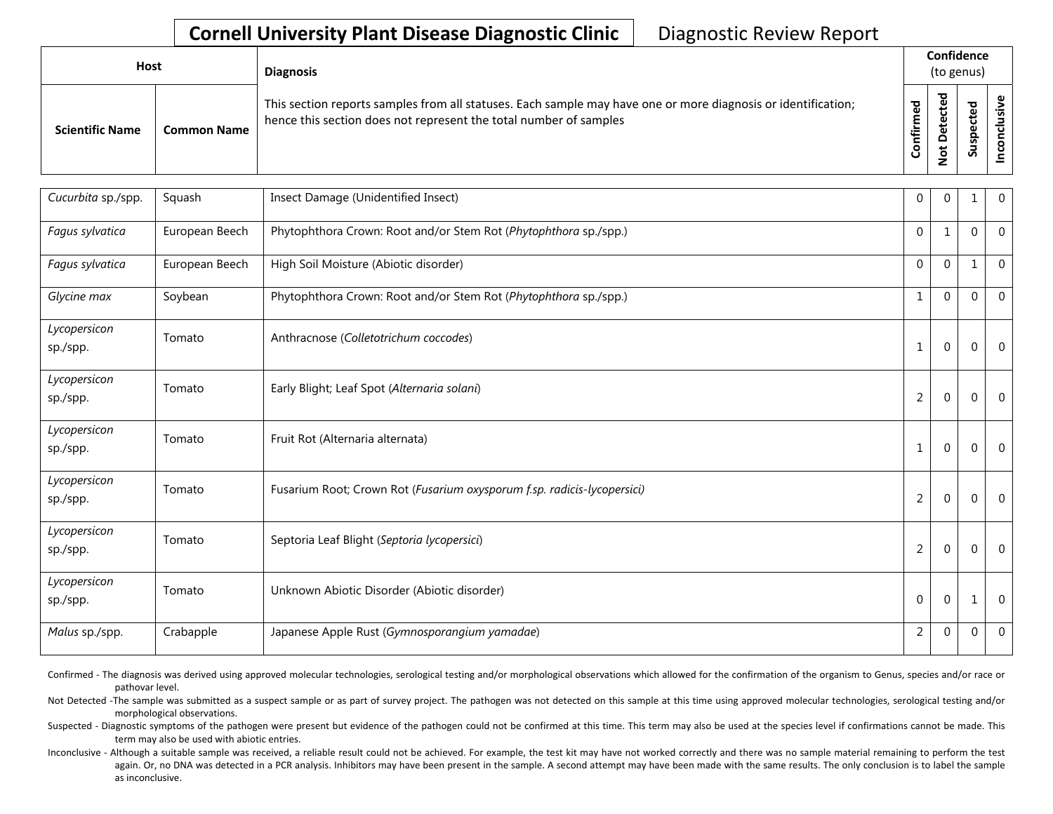## **Cornell University Plant Disease Diagnostic Clinic** | Diagnostic Review Report

| Host                   |                    | <b>Diagnosis</b>                                                                                                                                                                   |                      | Confidence<br>(to genus)                                                |                                                   |  |
|------------------------|--------------------|------------------------------------------------------------------------------------------------------------------------------------------------------------------------------------|----------------------|-------------------------------------------------------------------------|---------------------------------------------------|--|
| <b>Scientific Name</b> | <b>Common Name</b> | This section reports samples from all statuses. Each sample may have one or more diagnosis or identification;<br>hence this section does not represent the total number of samples | ਠ<br>Ē<br>onfir<br>Ū | ᅙ<br>$\mathbf \omega$<br>پ<br>ں<br>Φ<br>ى<br>Φ<br>۵<br>ى<br>$\tilde{S}$ | ठ<br>$\mathbf \omega$<br>ن<br>ഄ<br>င္ဘာ<br>-<br>S |  |

| Cucurbita sp./spp.       | Squash         | Insect Damage (Unidentified Insect)                                     | $\Omega$    | $\Omega$    | $\mathbf{1}$ | $\Omega$       |
|--------------------------|----------------|-------------------------------------------------------------------------|-------------|-------------|--------------|----------------|
| Fagus sylvatica          | European Beech | Phytophthora Crown: Root and/or Stem Rot (Phytophthora sp./spp.)        | $\mathbf 0$ | -1          | 0            | $\Omega$       |
| Fagus sylvatica          | European Beech | High Soil Moisture (Abiotic disorder)                                   | $\Omega$    | $\Omega$    | 1            | $\Omega$       |
| Glycine max              | Soybean        | Phytophthora Crown: Root and/or Stem Rot (Phytophthora sp./spp.)        | 1           | $\Omega$    | 0            | $\overline{0}$ |
| Lycopersicon<br>sp./spp. | Tomato         | Anthracnose (Colletotrichum coccodes)                                   | 1           | $\mathbf 0$ | $\mathbf 0$  | $\overline{0}$ |
| Lycopersicon<br>sp./spp. | Tomato         | Early Blight; Leaf Spot (Alternaria solani)                             | 2           | $\mathbf 0$ | $\mathbf 0$  | $\Omega$       |
| Lycopersicon<br>sp./spp. | Tomato         | Fruit Rot (Alternaria alternata)                                        | 1           | $\mathbf 0$ | $\mathbf 0$  | $\Omega$       |
| Lycopersicon<br>sp./spp. | Tomato         | Fusarium Root; Crown Rot (Fusarium oxysporum f.sp. radicis-lycopersici) | 2           | $\mathbf 0$ | 0            | $\Omega$       |
| Lycopersicon<br>sp./spp. | Tomato         | Septoria Leaf Blight (Septoria lycopersici)                             | 2           | $\mathbf 0$ | $\mathbf 0$  | $\overline{0}$ |
| Lycopersicon<br>sp./spp. | Tomato         | Unknown Abiotic Disorder (Abiotic disorder)                             | $\Omega$    | $\Omega$    | 1            | $\Omega$       |
| Malus sp./spp.           | Crabapple      | Japanese Apple Rust (Gymnosporangium yamadae)                           | 2           | $\Omega$    | 0            | $\overline{0}$ |

Confirmed - The diagnosis was derived using approved molecular technologies, serological testing and/or morphological observations which allowed for the confirmation of the organism to Genus, species and/or race or pathovar level.

Not Detected -The sample was submitted as a suspect sample or as part of survey project. The pathogen was not detected on this sample at this time using approved molecular technologies, serological testing and/or morphological observations.

Suspected - Diagnostic symptoms of the pathogen were present but evidence of the pathogen could not be confirmed at this time. This term may also be used at the species level if confirmations cannot be made. This term may also be used with abiotic entries.

Inconclusive - Although a suitable sample was received, a reliable result could not be achieved. For example, the test kit may have not worked correctly and there was no sample material remaining to perform the test again. Or, no DNA was detected in a PCR analysis. Inhibitors may have been present in the sample. A second attempt may have been made with the same results. The only conclusion is to label the sample as inconclusive.